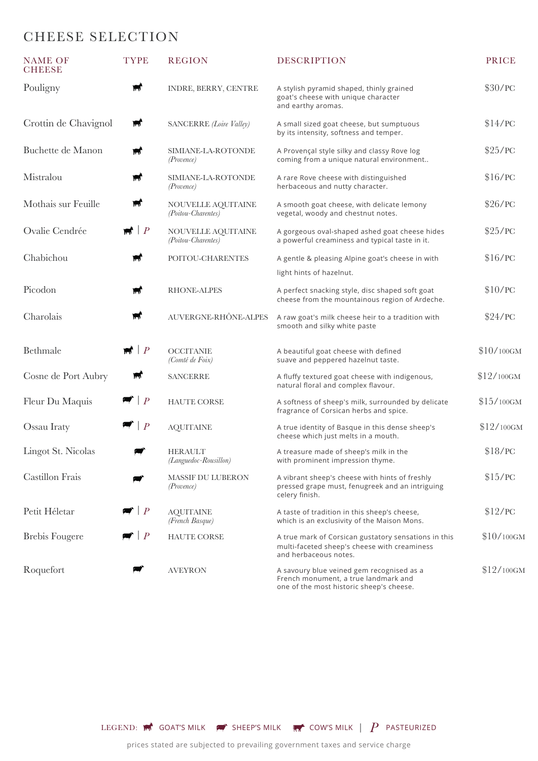## CHEESE SELECTION

| <b>NAME OF</b><br><b>CHEESE</b> | <b>TYPE</b>                            | <b>REGION</b>                                 | <b>DESCRIPTION</b>                                                                                                            | <b>PRICE</b> |
|---------------------------------|----------------------------------------|-----------------------------------------------|-------------------------------------------------------------------------------------------------------------------------------|--------------|
| Pouligny                        | w                                      | INDRE, BERRY, CENTRE                          | A stylish pyramid shaped, thinly grained<br>goat's cheese with unique character<br>and earthy aromas.                         | \$30/PC      |
| Crottin de Chavignol            | $\blacktriangleright$                  | SANCERRE (Loire Valley)                       | A small sized goat cheese, but sumptuous<br>by its intensity, softness and temper.                                            | \$14/PC      |
| Buchette de Manon               | $\blacktriangle$                       | SIMIANE-LA-ROTONDE<br><i>(Provence)</i>       | A Provençal style silky and classy Rove log<br>coming from a unique natural environment                                       | \$25/PC      |
| Mistralou                       | W,                                     | SIMIANE-LA-ROTONDE<br><i>(Provence)</i>       | A rare Rove cheese with distinguished<br>herbaceous and nutty character.                                                      | \$16/PC      |
| Mothais sur Feuille             | $\blacktriangleright$                  | NOUVELLE AQUITAINE<br>(Poitou-Charentes)      | A smooth goat cheese, with delicate lemony<br>vegetal, woody and chestnut notes.                                              | \$26/PC      |
| Ovalie Cendrée                  | $\blacksquare$                         | NOUVELLE AQUITAINE<br>(Poitou-Charentes)      | A gorgeous oval-shaped ashed goat cheese hides<br>a powerful creaminess and typical taste in it.                              | \$25/PC      |
| Chabichou                       | Ħ                                      | POITOU-CHARENTES                              | A gentle & pleasing Alpine goat's cheese in with                                                                              | \$16/PC      |
|                                 |                                        |                                               | light hints of hazelnut.                                                                                                      |              |
| Picodon                         | щ,                                     | <b>RHONE-ALPES</b>                            | A perfect snacking style, disc shaped soft goat<br>cheese from the mountainous region of Ardeche.                             | \$10/PC      |
| Charolais                       | W,                                     | AUVERGNE-RHÔNE-ALPES                          | A raw goat's milk cheese heir to a tradition with<br>smooth and silky white paste                                             | \$24/PC      |
| <b>Bethmale</b>                 | $\blacksquare$                         | <b>OCCITANIE</b><br>(Comté de Foix)           | A beautiful goat cheese with defined<br>suave and peppered hazelnut taste.                                                    | $$10/100$ GM |
| Cosne de Port Aubry             | w                                      | <b>SANCERRE</b>                               | A fluffy textured goat cheese with indigenous,<br>natural floral and complex flavour.                                         | $$12/100$ GM |
| Fleur Du Maquis                 | $\blacktriangleright$ $\mid$ $\rfloor$ | <b>HAUTE CORSE</b>                            | A softness of sheep's milk, surrounded by delicate<br>fragrance of Corsican herbs and spice.                                  | $$15/100$ GM |
| Ossau Iraty                     | $\blacksquare$ $\vdash$ $P$            | <b>AQUITAINE</b>                              | A true identity of Basque in this dense sheep's<br>cheese which just melts in a mouth.                                        | $$12/100$ GM |
| Lingot St. Nicolas              | æ                                      | <b>HERAULT</b><br>(Languedoc-Rousillon)       | A treasure made of sheep's milk in the<br>with prominent impression thyme.                                                    | \$18/PC      |
| Castillon Frais                 |                                        | <b>MASSIF DU LUBERON</b><br><i>(Provence)</i> | A vibrant sheep's cheese with hints of freshly<br>pressed grape must, fenugreek and an intriguing<br>celery finish.           | \$15/PC      |
| Petit Héletar                   | $\mid P$                               | <b>AQUITAINE</b><br>(French Basque)           | A taste of tradition in this sheep's cheese,<br>which is an exclusivity of the Maison Mons.                                   | \$12/PC      |
| <b>Brebis Fougere</b>           | $\mid P$                               | <b>HAUTE CORSE</b>                            | A true mark of Corsican gustatory sensations in this<br>multi-faceted sheep's cheese with creaminess<br>and herbaceous notes. | $$10/100$ GM |
| Roquefort                       |                                        | <b>AVEYRON</b>                                | A savoury blue veined gem recognised as a<br>French monument, a true landmark and<br>one of the most historic sheep's cheese. | $$12/100$ GM |

LEGEND:  $\mathbb{R}^k$  GOAT'S MILK  $\mathbb{R}^k$  sheep's Milk  $\mathbb{R}^k$  cow's Milk  $\|\cdot P\|$  pasteurized